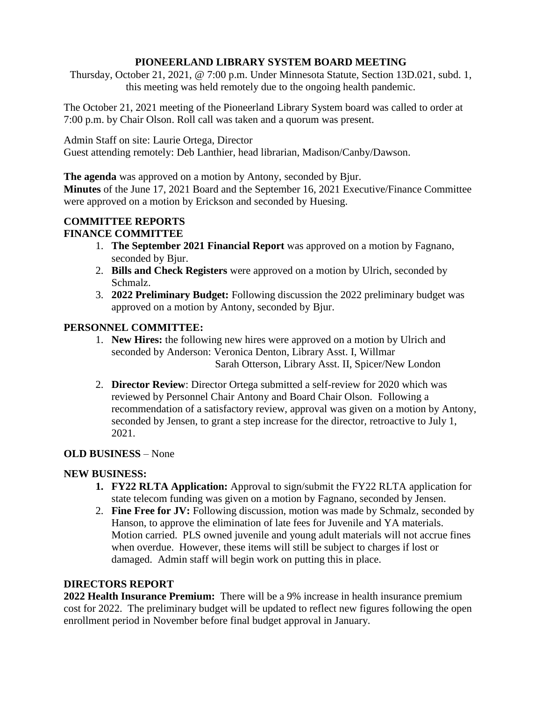### **PIONEERLAND LIBRARY SYSTEM BOARD MEETING**

Thursday, October 21, 2021, @ 7:00 p.m. Under Minnesota Statute, Section 13D.021, subd. 1, this meeting was held remotely due to the ongoing health pandemic.

The October 21, 2021 meeting of the Pioneerland Library System board was called to order at 7:00 p.m. by Chair Olson. Roll call was taken and a quorum was present.

Admin Staff on site: Laurie Ortega, Director Guest attending remotely: Deb Lanthier, head librarian, Madison/Canby/Dawson.

**The agenda** was approved on a motion by Antony, seconded by Bjur.

**Minutes** of the June 17, 2021 Board and the September 16, 2021 Executive/Finance Committee were approved on a motion by Erickson and seconded by Huesing.

# **COMMITTEE REPORTS**

## **FINANCE COMMITTEE**

- 1. **The September 2021 Financial Report** was approved on a motion by Fagnano, seconded by Bjur.
- 2. **Bills and Check Registers** were approved on a motion by Ulrich, seconded by Schmalz.
- 3. **2022 Preliminary Budget:** Following discussion the 2022 preliminary budget was approved on a motion by Antony, seconded by Bjur.

## **PERSONNEL COMMITTEE:**

- 1. **New Hires:** the following new hires were approved on a motion by Ulrich and seconded by Anderson: Veronica Denton, Library Asst. I, Willmar Sarah Otterson, Library Asst. II, Spicer/New London
- 2. **Director Review**: Director Ortega submitted a self-review for 2020 which was reviewed by Personnel Chair Antony and Board Chair Olson. Following a recommendation of a satisfactory review, approval was given on a motion by Antony, seconded by Jensen, to grant a step increase for the director, retroactive to July 1, 2021.

# **OLD BUSINESS** – None

### **NEW BUSINESS:**

- **1. FY22 RLTA Application:** Approval to sign/submit the FY22 RLTA application for state telecom funding was given on a motion by Fagnano, seconded by Jensen.
- 2. **Fine Free for JV:** Following discussion, motion was made by Schmalz, seconded by Hanson, to approve the elimination of late fees for Juvenile and YA materials. Motion carried. PLS owned juvenile and young adult materials will not accrue fines when overdue. However, these items will still be subject to charges if lost or damaged. Admin staff will begin work on putting this in place.

# **DIRECTORS REPORT**

**2022 Health Insurance Premium:** There will be a 9% increase in health insurance premium cost for 2022. The preliminary budget will be updated to reflect new figures following the open enrollment period in November before final budget approval in January.